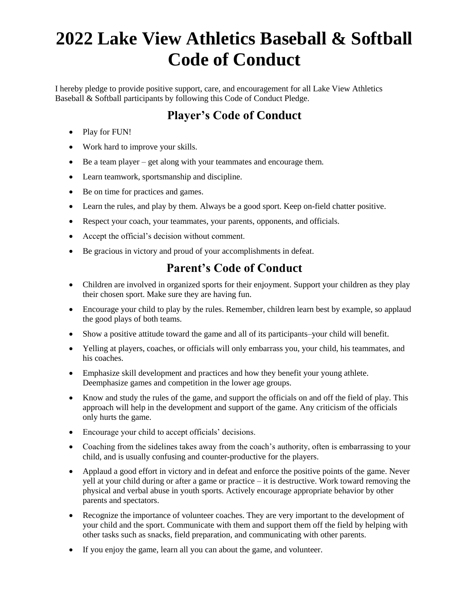## **2022 Lake View Athletics Baseball & Softball Code of Conduct**

I hereby pledge to provide positive support, care, and encouragement for all Lake View Athletics Baseball & Softball participants by following this Code of Conduct Pledge.

## **Player's Code of Conduct**

- Play for FUN!
- Work hard to improve your skills.
- Be a team player get along with your teammates and encourage them.
- Learn teamwork, sportsmanship and discipline.
- Be on time for practices and games.
- Learn the rules, and play by them. Always be a good sport. Keep on-field chatter positive.
- Respect your coach, your teammates, your parents, opponents, and officials.
- Accept the official's decision without comment.
- Be gracious in victory and proud of your accomplishments in defeat.

## **Parent's Code of Conduct**

- Children are involved in organized sports for their enjoyment. Support your children as they play their chosen sport. Make sure they are having fun.
- Encourage your child to play by the rules. Remember, children learn best by example, so applaud the good plays of both teams.
- Show a positive attitude toward the game and all of its participants–your child will benefit.
- Yelling at players, coaches, or officials will only embarrass you, your child, his teammates, and his coaches.
- Emphasize skill development and practices and how they benefit your young athlete. Deemphasize games and competition in the lower age groups.
- Know and study the rules of the game, and support the officials on and off the field of play. This approach will help in the development and support of the game. Any criticism of the officials only hurts the game.
- Encourage your child to accept officials' decisions.
- Coaching from the sidelines takes away from the coach's authority, often is embarrassing to your child, and is usually confusing and counter-productive for the players.
- Applaud a good effort in victory and in defeat and enforce the positive points of the game. Never yell at your child during or after a game or practice – it is destructive. Work toward removing the physical and verbal abuse in youth sports. Actively encourage appropriate behavior by other parents and spectators.
- Recognize the importance of volunteer coaches. They are very important to the development of your child and the sport. Communicate with them and support them off the field by helping with other tasks such as snacks, field preparation, and communicating with other parents.
- If you enjoy the game, learn all you can about the game, and volunteer.